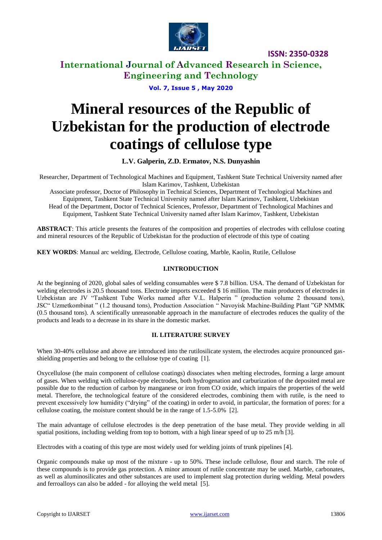

**International Journal of Advanced Research in Science, Engineering and Technology**

**Vol. 7, Issue 5 , May 2020**

# **Mineral resources of the Republic of Uzbekistan for the production of electrode coatings of cellulose type**

**L.V. Galperin, Z.D. Ermatov, N.S. Dunyashin**

Researcher, Department of Technological Machines and Equipment, Tashkent State Technical University named after Islam Karimov, Tashkent, Uzbekistan

Associate professor, Doctor of Philosophy in Technical Sciences, Department of Technological Machines and Equipment, Tashkent State Technical University named after Islam Karimov, Tashkent, Uzbekistan Head of the Department, Doctor of Technical Sciences, Professor, Department of Technological Machines and Equipment, Tashkent State Technical University named after Islam Karimov, Tashkent, Uzbekistan

**ABSTRACT**: This article presents the features of the composition and properties of electrodes with cellulose coating and mineral resources of the Republic of Uzbekistan for the production of electrode of this type of coating

**KEY WORDS**: Manual arc welding, Electrode, Cellulose coating, Marble, Kaolin, Rutile, Cellulose

#### **I.INTRODUCTION**

At the beginning of 2020, global sales of welding consumables were \$ 7.8 billion. USA. The demand of Uzbekistan for welding electrodes is 20.5 thousand tons. Electrode imports exceeded \$16 million. The main producers of electrodes in Uzbekistan are JV "Tashkent Tube Works named after V.L. Halperin " (production volume 2 thousand tons), JSC" Uzmetkombinat " (1.2 thousand tons), Production Association " Navoyisk Machine-Building Plant "GP NMMK (0.5 thousand tons). A scientifically unreasonable approach in the manufacture of electrodes reduces the quality of the products and leads to a decrease in its share in the domestic market.

## **II. LITERATURE SURVEY**

When 30-40% cellulose and above are introduced into the rutilosilicate system, the electrodes acquire pronounced gasshielding properties and belong to the cellulose type of coating [1].

Oxycellulose (the main component of cellulose coatings) dissociates when melting electrodes, forming a large amount of gases. When welding with cellulose-type electrodes, both hydrogenation and carburization of the deposited metal are possible due to the reduction of carbon by manganese or iron from CO oxide, which impairs the properties of the weld metal. Therefore, the technological feature of the considered electrodes, combining them with rutile, is the need to prevent excessively low humidity ("drying" of the coating) in order to avoid, in particular, the formation of pores: for a cellulose coating, the moisture content should be in the range of 1.5-5.0% [2].

The main advantage of cellulose electrodes is the deep penetration of the base metal. They provide welding in all spatial positions, including welding from top to bottom, with a high linear speed of up to 25 m/h [3].

Electrodes with a coating of this type are most widely used for welding joints of trunk pipelines [4].

Organic compounds make up most of the mixture - up to 50%. These include cellulose, flour and starch. The role of these compounds is to provide gas protection. A minor amount of rutile concentrate may be used. Marble, carbonates, as well as aluminosilicates and other substances are used to implement slag protection during welding. Metal powders and ferroalloys can also be added - for alloying the weld metal [5].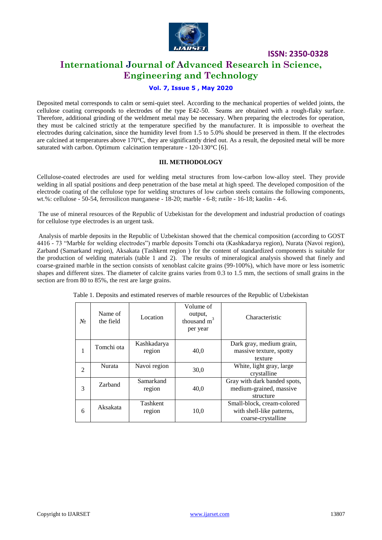

# **International Journal of Advanced Research in Science, Engineering and Technology**

## **Vol. 7, Issue 5 , May 2020**

Deposited metal corresponds to calm or semi-quiet steel. According to the mechanical properties of welded joints, the cellulose coating corresponds to electrodes of the type E42-50. Seams are obtained with a rough-flaky surface. Therefore, additional grinding of the weldment metal may be necessary. When preparing the electrodes for operation, they must be calcined strictly at the temperature specified by the manufacturer. It is impossible to overheat the electrodes during calcination, since the humidity level from 1.5 to 5.0% should be preserved in them. If the electrodes are calcined at temperatures above  $170^{\circ}$ C, they are significantly dried out. As a result, the deposited metal will be more saturated with carbon. Optimum calcination temperature - 120-130°C [6].

#### **III. METHODOLOGY**

Cellulose-coated electrodes are used for welding metal structures from low-carbon low-alloy steel. They provide welding in all spatial positions and deep penetration of the base metal at high speed. The developed composition of the electrode coating of the cellulose type for welding structures of low carbon steels contains the following components, wt.%: cellulose - 50-54, ferrosilicon manganese - 18-20; marble - 6-8; rutile - 16-18; kaolin - 4-6.

The use of mineral resources of the Republic of Uzbekistan for the development and industrial production of coatings for cellulose type electrodes is an urgent task.

Analysis of marble deposits in the Republic of Uzbekistan showed that the chemical composition (according to GOST 4416 - 73 "Marble for welding electrodes") marble deposits Tomchi ota (Kashkadarya region), Nurata (Navoi region), Zarband (Samarkand region), Aksakata (Tashkent region ) for the content of standardized components is suitable for the production of welding materials (table 1 and 2). The results of mineralogical analysis showed that finely and coarse-grained marble in the section consists of xenoblast calcite grains (99-100%), which have more or less isometric shapes and different sizes. The diameter of calcite grains varies from 0.3 to 1.5 mm, the sections of small grains in the section are from 80 to 85%, the rest are large grains.

| $N_2$          | Name of<br>the field | Location              | Volume of<br>output,<br>thousand $m3$<br>per year | Characteristic                                                                |
|----------------|----------------------|-----------------------|---------------------------------------------------|-------------------------------------------------------------------------------|
| 1              | Tomchi ota           | Kashkadarya<br>region | 40,0                                              | Dark gray, medium grain,<br>massive texture, spotty<br>texture                |
| $\mathfrak{D}$ | Nurata               | Navoi region          | 30,0                                              | White, light gray, large<br>crystalline                                       |
| 3              | Zarband              | Samarkand<br>region   | 40,0                                              | Gray with dark banded spots,<br>medium-grained, massive<br>structure          |
| 6              | Aksakata             | Tashkent<br>region    | 10,0                                              | Small-block, cream-colored<br>with shell-like patterns,<br>coarse-crystalline |

Table 1. Deposits and estimated reserves of marble resources of the Republic of Uzbekistan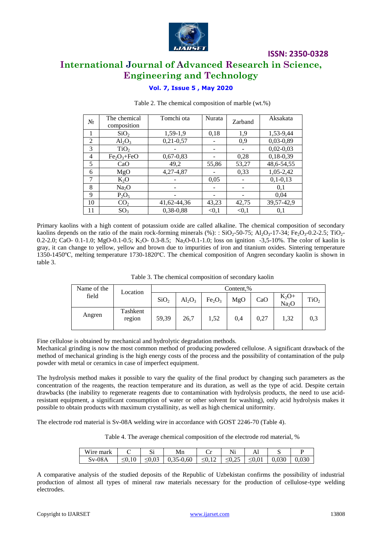

# **International Journal of Advanced Research in Science, Engineering and Technology**

## **Vol. 7, Issue 5 , May 2020**

| $N_2$          | The chemical<br>composition | Tomchi ota    | Nurata | Zarband | Aksakata    |
|----------------|-----------------------------|---------------|--------|---------|-------------|
|                | SiO <sub>2</sub>            | 1,59-1,9      | 0,18   | 1,9     | 1,53-9,44   |
| 2              | $Al_2O_3$                   | $0,21-0,57$   |        | 0.9     | $0,03-0,89$ |
| 3              | TiO <sub>2</sub>            |               |        |         | $0,02-0,03$ |
| $\overline{4}$ | $Fe2O3+FeO$                 | $0,67-0,83$   |        | 0,28    | $0,18-0,39$ |
| 5              | CaO                         | 49,2          | 55,86  | 53,27   | 48,6-54,55  |
| 6              | MgO                         | 4, 27 - 4, 87 |        | 0,33    | 1,05-2,42   |
| 7              | $K_2O$                      |               | 0.05   |         | $0,1-0,13$  |
| 8              | Na <sub>2</sub> O           |               |        |         | 0,1         |
| 9              | $P_2O_5$                    |               |        |         | 0,04        |
| 10             | CO <sub>2</sub>             | 41,62-44,36   | 43,23  | 42,75   | 39,57-42,9  |
| 11             | SO <sub>3</sub>             | 0.38-0.88     | < 0.1  | < 0.1   | 0,1         |

#### Table 2. The chemical composition of marble (wt.%)

Primary kaolins with a high content of potassium oxide are called alkaline. The chemical composition of secondary kaolins depends on the ratio of the main rock-forming minerals (%):  $SiO_2$ -50-75; Al<sub>2</sub>O<sub>3</sub>-17-34; Fe<sub>2</sub>O<sub>3</sub>-0.2-2.5; TiO<sub>2</sub>-0.2-2.0; CaO- 0.1-1.0; MgO-0.1-0.5; K<sub>2</sub>O- 0.3-8.5; Na<sub>2</sub>O-0.1-1.0; loss on ignition -3,5-10%. The color of kaolin is gray, it can change to yellow, yellow and brown due to impurities of iron and titanium oxides. Sintering temperature 1350-1450ºС, melting temperature 1730-1820ºС. The chemical composition of Angren secondary kaolin is shown in table 3.

| Table 3. The chemical composition of secondary kaolin |  |  |  |
|-------------------------------------------------------|--|--|--|
|-------------------------------------------------------|--|--|--|

| Name of the | Location           | Content,%        |           |                                |     |      |                              |                  |
|-------------|--------------------|------------------|-----------|--------------------------------|-----|------|------------------------------|------------------|
| field       |                    | SiO <sub>2</sub> | $Al_2O_3$ | Fe <sub>2</sub> O <sub>3</sub> | MgO | CaO  | $K_2O+$<br>Na <sub>2</sub> O | TiO <sub>2</sub> |
| Angren      | Tashkent<br>region | 59,39            | 26,7      | 1,52                           | 0,4 | 0,27 | 1,32                         | 0,3              |

Fine cellulose is obtained by mechanical and hydrolytic degradation methods.

Mechanical grinding is now the most common method of producing powdered cellulose. A significant drawback of the method of mechanical grinding is the high energy costs of the process and the possibility of contamination of the pulp powder with metal or ceramics in case of imperfect equipment.

The hydrolysis method makes it possible to vary the quality of the final product by changing such parameters as the concentration of the reagents, the reaction temperature and its duration, as well as the type of acid. Despite certain drawbacks (the inability to regenerate reagents due to contamination with hydrolysis products, the need to use acidresistant equipment, a significant consumption of water or other solvent for washing), only acid hydrolysis makes it possible to obtain products with maximum crystallinity, as well as high chemical uniformity.

The electrode rod material is Sv-08A welding wire in accordance with GOST 2246-70 (Table 4).

Table 4. The average chemical composition of the electrode rod material, %

| Wire mark |                   | $\sim$<br>ມ                | Mn          | ◡                       | <b>NT</b><br>IN1  | ı           | ັ     |       |
|-----------|-------------------|----------------------------|-------------|-------------------------|-------------------|-------------|-------|-------|
| $Sv-08A$  | $\sim$ U, $\perp$ | $\sim$ $\sim$<br>∼∪.∪<br>_ | $0,35-0,60$ | U,1 <sub>4</sub><br>— 1 | $\Omega$<br>SU(2) | $\leq 0.01$ | 0,030 | 0,030 |

A comparative analysis of the studied deposits of the Republic of Uzbekistan confirms the possibility of industrial production of almost all types of mineral raw materials necessary for the production of cellulose-type welding electrodes.